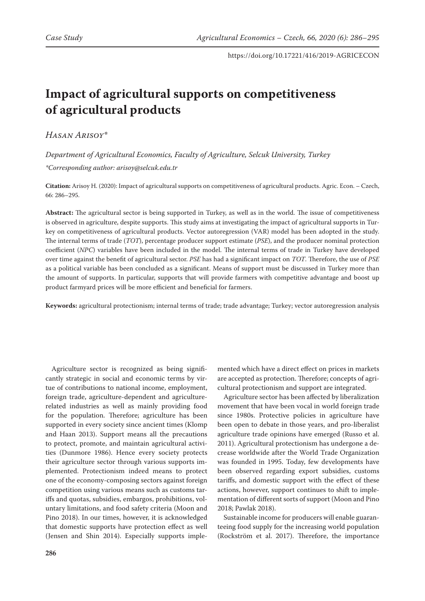# **Impact of agricultural supports on competitiveness of agricultural products**

*Hasan Arisoy\**

*Department of Agricultural Economics, Faculty of Agriculture, Selcuk University, Turkey \*Corresponding author: arisoy@selcuk.edu.tr*

**Citation:** Arisoy H. (2020): Impact of agricultural supports on competitiveness of agricultural products. Agric. Econ. – Czech, 66: 286–295.

**Abstract:** The agricultural sector is being supported in Turkey, as well as in the world. The issue of competitiveness is observed in agriculture, despite supports. This study aims at investigating the impact of agricultural supports in Turkey on competitiveness of agricultural products. Vector autoregression (VAR) model has been adopted in the study. The internal terms of trade (*TOT*), percentage producer support estimate (*PSE*), and the producer nominal protection coefficient (*NPC*) variables have been included in the model. The internal terms of trade in Turkey have developed over time against the benefit of agricultural sector. *PSE* has had a significant impact on *TOT*. Therefore, the use of *PSE* as a political variable has been concluded as a significant. Means of support must be discussed in Turkey more than the amount of supports. In particular, supports that will provide farmers with competitive advantage and boost up product farmyard prices will be more efficient and beneficial for farmers.

**Keywords:** agricultural protectionism; internal terms of trade; trade advantage; Turkey; vector autoregression analysis

Agriculture sector is recognized as being significantly strategic in social and economic terms by virtue of contributions to national income, employment, foreign trade, agriculture-dependent and agriculturerelated industries as well as mainly providing food for the population. Therefore; agriculture has been supported in every society since ancient times (Klomp and Haan 2013). Support means all the precautions to protect, promote, and maintain agricultural activities (Dunmore 1986). Hence every society protects their agriculture sector through various supports implemented. Protectionism indeed means to protect one of the economy-composing sectors against foreign competition using various means such as customs tariffs and quotas, subsidies, embargos, prohibitions, voluntary limitations, and food safety criteria (Moon and Pino 2018). In our times, however, it is acknowledged that domestic supports have protection effect as well (Jensen and Shin 2014). Especially supports imple-

mented which have a direct effect on prices in markets are accepted as protection. Therefore; concepts of agricultural protectionism and support are integrated.

Agriculture sector has been affected by liberalization movement that have been vocal in world foreign trade since 1980s. Protective policies in agriculture have been open to debate in those years, and pro-liberalist agriculture trade opinions have emerged (Russo et al. 2011). Agricultural protectionism has undergone a decrease worldwide after the World Trade Organization was founded in 1995. Today, few developments have been observed regarding export subsidies, customs tariffs, and domestic support with the effect of these actions, however, support continues to shift to implementation of different sorts of support (Moon and Pino 2018; Pawlak 2018).

Sustainable income for producers will enable guaranteeing food supply for the increasing world population (Rockström et al. 2017). Therefore, the importance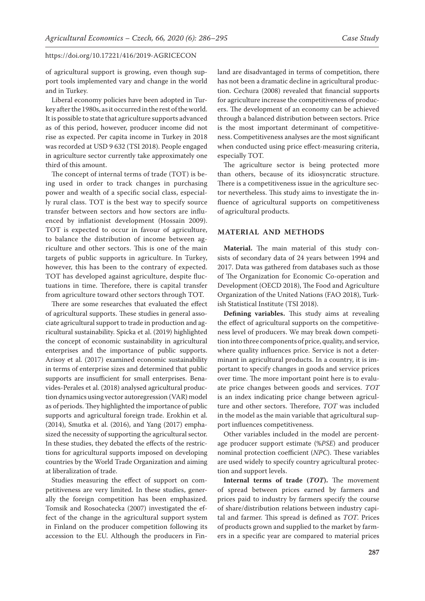of agricultural support is growing, even though support tools implemented vary and change in the world and in Turkey.

Liberal economy policies have been adopted in Turkey after the 1980s, as it occurred in the rest of the world. It is possible to state that agriculture supports advanced as of this period, however, producer income did not rise as expected. Per capita income in Turkey in 2018 was recorded at USD 9 632 (TSI 2018). People engaged in agriculture sector currently take approximately one third of this amount.

The concept of internal terms of trade (TOT) is being used in order to track changes in purchasing power and wealth of a specific social class, especially rural class. TOT is the best way to specify source transfer between sectors and how sectors are influenced by inflationist development (Hossain 2009). TOT is expected to occur in favour of agriculture, to balance the distribution of income between agriculture and other sectors. This is one of the main targets of public supports in agriculture. In Turkey, however, this has been to the contrary of expected. TOT has developed against agriculture, despite fluctuations in time. Therefore, there is capital transfer from agriculture toward other sectors through TOT.

There are some researches that evaluated the effect of agricultural supports. These studies in general associate agricultural support to trade in production and agricultural sustainability. Spicka et al. (2019) highlighted the concept of economic sustainability in agricultural enterprises and the importance of public supports. Arisoy et al. (2017) examined economic sustainability in terms of enterprise sizes and determined that public supports are insufficient for small enterprises. Benavides-Perales et al. (2018) analysed agricultural production dynamics using vector autoregression (VAR) model as of periods. They highlighted the importance of public supports and agricultural foreign trade. Erokhin et al. (2014), Smutka et al. (2016), and Yang (2017) emphasized the necessity of supporting the agricultural sector. In these studies, they debated the effects of the restrictions for agricultural supports imposed on developing countries by the World Trade Organization and aiming at liberalization of trade.

Studies measuring the effect of support on competitiveness are very limited. In these studies, generally the foreign competition has been emphasized. Tomsik and Rosochatecka (2007) investigated the effect of the change in the agricultural support system in Finland on the producer competition following its accession to the EU. Although the producers in Finland are disadvantaged in terms of competition, there has not been a dramatic decline in agricultural production. Cechura (2008) revealed that financial supports for agriculture increase the competitiveness of producers. The development of an economy can be achieved through a balanced distribution between sectors. Price is the most important determinant of competitiveness. Competitiveness analyses are the most significant when conducted using price effect-measuring criteria, especially TOT.

The agriculture sector is being protected more than others, because of its idiosyncratic structure. There is a competitiveness issue in the agriculture sector nevertheless. This study aims to investigate the influence of agricultural supports on competitiveness of agricultural products.

## **MATERIAL AND METHODS**

**Material.** The main material of this study consists of secondary data of 24 years between 1994 and 2017. Data was gathered from databases such as those of The Organization for Economic Co-operation and Development (OECD 2018), The Food and Agriculture Organization of the United Nations (FAO 2018), Turkish Statistical Institute (TSI 2018).

**Defining variables.** This study aims at revealing the effect of agricultural supports on the competitiveness level of producers. We may break down competition into three components of price, quality, and service, where quality influences price. Service is not a determinant in agricultural products. In a country, it is important to specify changes in goods and service prices over time. The more important point here is to evaluate price changes between goods and services. *TOT* is an index indicating price change between agriculture and other sectors. Therefore, *TOT* was included in the model as the main variable that agricultural support influences competitiveness.

Other variables included in the model are percentage producer support estimate (%*PSE*) and producer nominal protection coefficient (*NPC*). These variables are used widely to specify country agricultural protection and support levels.

**Internal terms of trade (***TOT***).** The movement of spread between prices earned by farmers and prices paid to industry by farmers specify the course of share/distribution relations between industry capital and farmer. This spread is defined as *TOT*. Prices of products grown and supplied to the market by farmers in a specific year are compared to material prices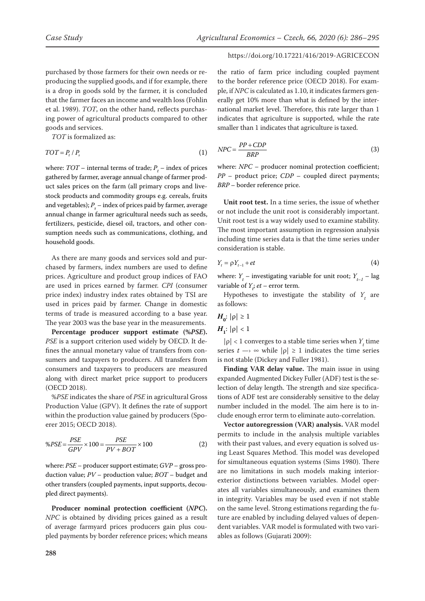purchased by those farmers for their own needs or reproducing the supplied goods, and if for example, there is a drop in goods sold by the farmer, it is concluded that the farmer faces an income and wealth loss (Fohlin et al. 1989). *TOT*, on the other hand, reflects purchas-

*TOT* is formalized as:

goods and services.

$$
TOT = P_t / P_s \tag{1}
$$

ing power of agricultural products compared to other

where:  $TOT$  – internal terms of trade;  $P_t$  – index of prices gathered by farmer, average annual change of farmer product sales prices on the farm (all primary crops and livestock products and commodity groups e.g. cereals, fruits and vegetables);  $P_s$  – index of prices paid by farmer, average annual change in farmer agricultural needs such as seeds, fertilizers, pesticide, diesel oil, tractors, and other consumption needs such as communications, clothing, and household goods.

As there are many goods and services sold and purchased by farmers, index numbers are used to define prices. Agriculture and product group indices of FAO are used in prices earned by farmer. *CPI* (consumer price index) industry index rates obtained by TSI are used in prices paid by farmer. Change in domestic terms of trade is measured according to a base year. The year 2003 was the base year in the measurements.

**Percentage producer support estimate (%***PSE***).**  *PSE* is a support criterion used widely by OECD. It defines the annual monetary value of transfers from consumers and taxpayers to producers. All transfers from consumers and taxpayers to producers are measured along with direct market price support to producers (OECD 2018).

%*PSE* indicates the share of *PSE* in agricultural Gross Production Value (GPV). It defines the rate of support within the production value gained by producers (Spoerer 2015; OECD 2018).

$$
\%PSE = \frac{PSE}{GPV} \times 100 = \frac{PSE}{PV + BOT} \times 100\tag{2}
$$

where: *PSE –* producer support estimate; *GVP –* gross production value; *PV –* production value; *BOT –* budget and other transfers (coupled payments, input supports, decoupled direct payments).

**Producer nominal protection coefficient (***NPC***).**  *NPC* is obtained by dividing prices gained as a result of average farmyard prices producers gain plus coupled payments by border reference prices; which means

## https://doi.org/10.17221/416/2019-AGRICECON

the ratio of farm price including coupled payment to the border reference price (OECD 2018). For example, if *NPC* is calculated as 1.10, it indicates farmers generally get 10% more than what is defined by the international market level. Therefore, this rate larger than 1 indicates that agriculture is supported, while the rate smaller than 1 indicates that agriculture is taxed.

$$
NPC = \frac{PP + CDP}{BRP} \tag{3}
$$

where: *NPC* – producer nominal protection coefficient; *PP –*  product price; *CDP* – coupled direct payments; *BRP* – border reference price.

**Unit root test.** In a time series, the issue of whether or not include the unit root is considerably important. Unit root test is a way widely used to examine stability. The most important assumption in regression analysis including time series data is that the time series under consideration is stable.

$$
Y_t = \rho Y_{t-1} + et \tag{4}
$$

where:  $Y_t$  – investigating variable for unit root;  $Y_{t-1}$  – lag variable of  $Y_i$ ;  $et$  – error term.

Hypotheses to investigate the stability of  $Y_t$  are as follows:

$$
H_0: |\rho| \ge 1
$$
  

$$
H_1: |\rho| < 1
$$

 $|\rho|$  < 1 converges to a stable time series when  $Y_t$  time series  $t \rightarrow \infty$  while  $|\rho| \ge 1$  indicates the time series is not stable (Dickey and Fuller 1981).

**Finding VAR delay value.** The main issue in using expanded Augmented Dickey Fuller (ADF) test is the selection of delay length. The strength and size specifications of ADF test are considerably sensitive to the delay number included in the model. The aim here is to include enough error term to eliminate auto-correlation.

**Vector autoregression (VAR) analysis.** VAR model permits to include in the analysis multiple variables with their past values, and every equation is solved using Least Squares Method. This model was developed for simultaneous equation systems (Sims 1980). There are no limitations in such models making interiorexterior distinctions between variables. Model operates all variables simultaneously, and examines them in integrity. Variables may be used even if not stable on the same level. Strong estimations regarding the future are enabled by including delayed values of dependent variables. VAR model is formulated with two variables as follows (Gujarati 2009):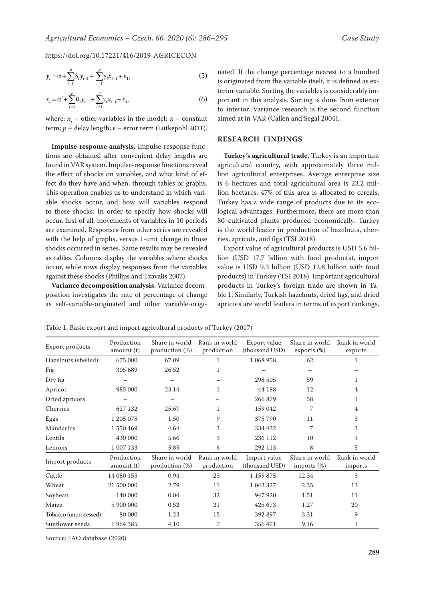$$
y_{t} = \alpha + \sum_{i=1}^{p} \beta_{i} y_{t-1} + \sum_{i=1}^{p} \gamma_{i} x_{t-1} + \varepsilon_{1t}
$$
 (5)

$$
x_{t} = \alpha' + \sum_{i=1}^{p} \theta_{i} y_{t-1} + \sum_{i=1}^{p} \gamma_{i} x_{t-1} + \varepsilon_{1t}
$$
 (6)

where:  $x_t$  – other variables in the model;  $\alpha$  – constant term; *p* – delay length; ε – error term (Lütkepohl 2011).

**Impulse-response analysis.** Impulse-response functions are obtained after convenient delay lengths are found in VAR system. Impulse-response functions reveal the effect of shocks on variables, and what kind of effect do they have and when, through tables or graphs. This operation enables us to understand in which variable shocks occur, and how will variables respond to these shocks. In order to specify how shocks will occur, first of all, movements of variables in 10 periods are examined. Responses from other series are revealed with the help of graphs, versus 1-unit change in those shocks occurred in series. Same results may be revealed as tables. Columns display the variables where shocks occur, while rows display responses from the variables against these shocks (Phillips and Tzavalis 2007).

**Variance decomposition analysis.** Variance decomposition investigates the rate of percentage of change as self-variable-originated and other variable-origi-

nated. If the change percentage nearest to a hundred is originated from the variable itself, it is defined as exterior variable. Sorting the variables is considerably important in this analysis. Sorting is done from exterior to interior. Variance research is the second function aimed at in VAR (Callen and Segal 2004).

## **RESEARCH FINDINGS**

**Turkey's agricultural trade.** Turkey is an important agricultural country, with approximately three million agricultural enterprises. Average enterprise size is 6 hectares and total agricultural area is 23.2 million hectares. 47% of this area is allocated to cereals. Turkey has a wide range of products due to its ecological advantages. Furthermore, there are more than 80 cultivated plants produced economically. Turkey is the world leader in production of hazelnuts, cherries, apricots, and figs (TSI 2018).

Export value of agricultural products is USD 5.6 billion (USD 17.7 billion with food products), import value is USD 9.3 billion (USD 12.8 billion with food products) in Turkey (TSI 2018). Important agricultural products in Turkey's foreign trade are shown in Table 1. Similarly, Turkish hazelnuts, dried figs, and dried apricots are world leaders in terms of export rankings.

Table 1. Basic export and import agricultural products of Turkey (2017)

| Export products       | Production<br>amount(t) | Share in world<br>production $(\%)$ | Rank in world<br>production | Export value<br>(thousand USD) | Share in world<br>exports $(\%)$ | Rank in world<br>exports |
|-----------------------|-------------------------|-------------------------------------|-----------------------------|--------------------------------|----------------------------------|--------------------------|
| Hazelnuts (shelled)   | 675 000                 | 67.09                               | 1                           | 1 068 958                      | 62                               | 1                        |
| Fig                   | 305 689                 | 26.52                               |                             |                                |                                  |                          |
| Dry fig               |                         |                                     |                             | 298 505                        | 59                               | 1                        |
| Apricot               | 985 000                 | 23.14                               |                             | 44 188                         | 12                               | 4                        |
| Dried apricots        |                         | -                                   |                             | 266 879                        | 58                               | 1                        |
| Cherries              | 627 132                 | 25.67                               |                             | 159 042                        | 7                                | 4                        |
| Eggs                  | 1 205 075               | 1.50                                | 9                           | 375 790                        | 11                               | 3                        |
| Mandarins             | 1550469                 | 4.64                                | 3                           | 334 432                        | 7                                | 3                        |
| Lentils               | 430 000                 | 5.66                                | 3                           | 236 112                        | 10                               | 3                        |
| Lemons                | 1 007 133               | 5.85                                | 6                           | 292 113                        | 8                                | 5                        |
| Import products       | Production<br>amount(t) | Share in world<br>production $(\%)$ | Rank in world<br>production | Import value<br>(thousand USD) | Share in world<br>imports $(\%)$ | Rank in world<br>imports |
| Cattle                | 14 080 155              | 0.94                                | 23                          | 1 1 5 8 8 7 5                  | 12.34                            | 3                        |
| Wheat                 | 21 500 000              | 2.79                                | 11                          | 1 043 327                      | 2.35                             | 13                       |
| Soybean               | 140 000                 | 0.04                                | 32                          | 947 920                        | 1.51                             | 11                       |
| Maize                 | 5 900 000               | 0.52                                | 21                          | 425 673                        | 1.27                             | 20                       |
| Tobacco (unprocessed) | 80 000                  | 1.23                                | 15                          | 392 897                        | 3.31                             | 9                        |
| Sunflower seeds       | 1964385                 | 4.10                                | 7                           | 356 471                        | 9.16                             | 1                        |

Source: FAO database (2020)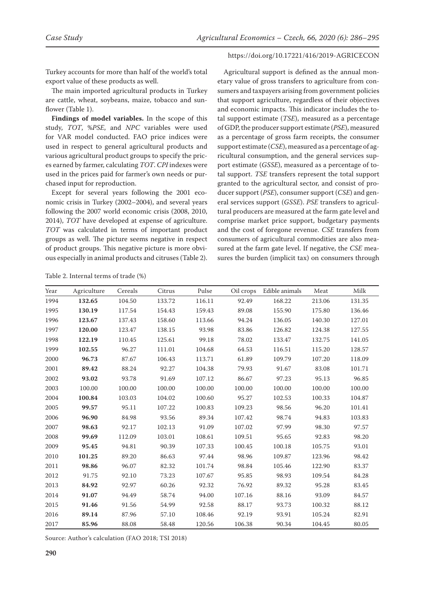Turkey accounts for more than half of the world's total export value of these products as well.

The main imported agricultural products in Turkey are cattle, wheat, soybeans, maize, tobacco and sunflower (Table 1).

**Findings of model variables.** In the scope of this study, *TOT*, %*PSE*, and *NPC* variables were used for VAR model conducted. FAO price indices were used in respect to general agricultural products and various agricultural product groups to specify the prices earned by farmer, calculating *TOT*. *CPI* indexes were used in the prices paid for farmer's own needs or purchased input for reproduction.

Except for several years following the 2001 economic crisis in Turkey (2002–2004), and several years following the 2007 world economic crisis (2008, 2010, 2014), *TOT* have developed at expense of agriculture. *TOT* was calculated in terms of important product groups as well. The picture seems negative in respect of product groups. This negative picture is more obvious especially in animal products and citruses (Table 2).

## https://doi.org/10.17221/416/2019-AGRICECON

Agricultural support is defined as the annual monetary value of gross transfers to agriculture from consumers and taxpayers arising from government policies that support agriculture, regardless of their objectives and economic impacts. This indicator includes the total support estimate (*TSE*), measured as a percentage of GDP, the producer support estimate (*PSE*), measured as a percentage of gross farm receipts, the consumer support estimate (*CSE*), measured as a percentage of agricultural consumption, and the general services support estimate (*GSSE*), measured as a percentage of total support. *TSE* transfers represent the total support granted to the agricultural sector, and consist of producer support (*PSE*), consumer support (*CSE*) and general services support (*GSSE*). *PSE* transfers to agricultural producers are measured at the farm gate level and comprise market price support, budgetary payments and the cost of foregone revenue. *CSE* transfers from consumers of agricultural commodities are also measured at the farm gate level. If negative, the *CSE* measures the burden (implicit tax) on consumers through

Table 2. Internal terms of trade (%)

| Year | Agriculture | Cereals | Citrus | Pulse  | Oil crops | Edible animals | Meat   | Milk   |
|------|-------------|---------|--------|--------|-----------|----------------|--------|--------|
| 1994 | 132.65      | 104.50  | 133.72 | 116.11 | 92.49     | 168.22         | 213.06 | 131.35 |
| 1995 | 130.19      | 117.54  | 154.43 | 159.43 | 89.08     | 155.90         | 175.80 | 136.46 |
| 1996 | 123.67      | 137.43  | 158.60 | 113.66 | 94.24     | 136.05         | 140.30 | 127.01 |
| 1997 | 120.00      | 123.47  | 138.15 | 93.98  | 83.86     | 126.82         | 124.38 | 127.55 |
| 1998 | 122.19      | 110.45  | 125.61 | 99.18  | 78.02     | 133.47         | 132.75 | 141.05 |
| 1999 | 102.55      | 96.27   | 111.01 | 104.68 | 64.53     | 116.51         | 115.20 | 128.57 |
| 2000 | 96.73       | 87.67   | 106.43 | 113.71 | 61.89     | 109.79         | 107.20 | 118.09 |
| 2001 | 89.42       | 88.24   | 92.27  | 104.38 | 79.93     | 91.67          | 83.08  | 101.71 |
| 2002 | 93.02       | 93.78   | 91.69  | 107.12 | 86.67     | 97.23          | 95.13  | 96.85  |
| 2003 | 100.00      | 100.00  | 100.00 | 100.00 | 100.00    | 100.00         | 100.00 | 100.00 |
| 2004 | 100.84      | 103.03  | 104.02 | 100.60 | 95.27     | 102.53         | 100.33 | 104.87 |
| 2005 | 99.57       | 95.11   | 107.22 | 100.83 | 109.23    | 98.56          | 96.20  | 101.41 |
| 2006 | 96.90       | 84.98   | 93.56  | 89.34  | 107.42    | 98.74          | 94.83  | 103.83 |
| 2007 | 98.63       | 92.17   | 102.13 | 91.09  | 107.02    | 97.99          | 98.30  | 97.57  |
| 2008 | 99.69       | 112.09  | 103.01 | 108.61 | 109.51    | 95.65          | 92.83  | 98.20  |
| 2009 | 95.45       | 94.81   | 90.39  | 107.33 | 100.45    | 100.18         | 105.75 | 93.01  |
| 2010 | 101.25      | 89.20   | 86.63  | 97.44  | 98.96     | 109.87         | 123.96 | 98.42  |
| 2011 | 98.86       | 96.07   | 82.32  | 101.74 | 98.84     | 105.46         | 122.90 | 83.37  |
| 2012 | 91.75       | 92.10   | 73.23  | 107.67 | 95.85     | 98.93          | 109.54 | 84.28  |
| 2013 | 84.92       | 92.97   | 60.26  | 92.32  | 76.92     | 89.32          | 95.28  | 83.45  |
| 2014 | 91.07       | 94.49   | 58.74  | 94.00  | 107.16    | 88.16          | 93.09  | 84.57  |
| 2015 | 91.46       | 91.56   | 54.99  | 92.58  | 88.17     | 93.73          | 100.32 | 88.12  |
| 2016 | 89.14       | 87.96   | 57.10  | 108.46 | 92.19     | 93.91          | 105.24 | 82.91  |
| 2017 | 85.96       | 88.08   | 58.48  | 120.56 | 106.38    | 90.34          | 104.45 | 80.05  |

Source: Author's calculation (FAO 2018; TSI 2018)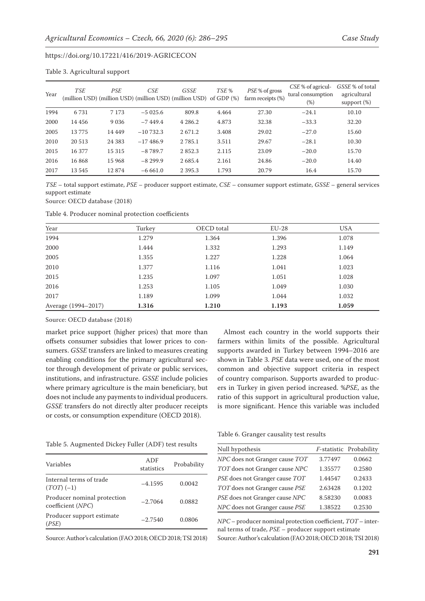| Year | <b>TSE</b> | <b>PSE</b> | <b>CSE</b> | GSSE<br>(million USD) (million USD) (million USD) (million USD) of GDP (%) | TSE % | PSE % of gross<br>farm receipts (%) | CSE % of agricul-<br>tural consumption<br>$(\%)$ | GSSE % of total<br>agricultural<br>support $(\%)$ |
|------|------------|------------|------------|----------------------------------------------------------------------------|-------|-------------------------------------|--------------------------------------------------|---------------------------------------------------|
| 1994 | 6 7 3 1    | 7 1 7 3    | $-5025.6$  | 809.8                                                                      | 4.464 | 27.30                               | $-24.1$                                          | 10.10                                             |
| 2000 | 14 4 5 6   | 9 0 3 6    | $-7449.4$  | 4 2 8 6 .2                                                                 | 4.873 | 32.38                               | $-33.3$                                          | 32.20                                             |
| 2005 | 13775      | 14 4 4 9   | $-10732.3$ | 2671.2                                                                     | 3.408 | 29.02                               | $-27.0$                                          | 15.60                                             |
| 2010 | 20 513     | 24 3 8 3   | $-17486.9$ | 2 7 8 5 .1                                                                 | 3.511 | 29.67                               | $-28.1$                                          | 10.30                                             |
| 2015 | 16 377     | 15 3 15    | $-8789.7$  | 2852.3                                                                     | 2.115 | 23.09                               | $-20.0$                                          | 15.70                                             |
| 2016 | 16868      | 15 968     | $-8299.9$  | 2685.4                                                                     | 2.161 | 24.86                               | $-20.0$                                          | 14.40                                             |
| 2017 | 13 5 45    | 12874      | $-6661.0$  | 2 3 9 5 . 3                                                                | 1.793 | 20.79                               | 16.4                                             | 15.70                                             |

#### Table 3. Agricultural support

*TSE –* total support estimate, *PSE –* producer support estimate, *CSE –* consumer support estimate, *GSSE –* general services support estimate

Source: OECD database (2018)

Table 4. Producer nominal protection coefficients

| Year                | Turkey | OECD total | $EU-28$ | <b>USA</b> |
|---------------------|--------|------------|---------|------------|
| 1994                | 1.279  | 1.364      | 1.396   | 1.078      |
| 2000                | 1.444  | 1.332      | 1.293   | 1.149      |
| 2005                | 1.355  | 1.227      | 1.228   | 1.064      |
| 2010                | 1.377  | 1.116      | 1.041   | 1.023      |
| 2015                | 1.235  | 1.097      | 1.051   | 1.028      |
| 2016                | 1.253  | 1.105      | 1.049   | 1.030      |
| 2017                | 1.189  | 1.099      | 1.044   | 1.032      |
| Average (1994-2017) | 1.316  | 1.210      | 1.193   | 1.059      |

Source: OECD database (2018)

market price support (higher prices) that more than offsets consumer subsidies that lower prices to consumers. *GSSE* transfers are linked to measures creating enabling conditions for the primary agricultural sector through development of private or public services, institutions, and infrastructure. *GSSE* include policies where primary agriculture is the main beneficiary, but does not include any payments to individual producers. *GSSE* transfers do not directly alter producer receipts or costs, or consumption expenditure (OECD 2018).

Table 5. Augmented Dickey Fuller (ADF) test results

| Variables                                        | ADF<br>statistics | Probability |
|--------------------------------------------------|-------------------|-------------|
| Internal terms of trade<br>$(TOT)$ (-1)          | $-4.1595$         | 0.0042      |
| Producer nominal protection<br>coefficient (NPC) | $-2.7064$         | 0.0882      |
| Producer support estimate<br>(PSE)               | $-2.7540$         | 0.0806      |

Source: Author's calculation (FAO 2018; OECD 2018; TSI 2018)

Almost each country in the world supports their farmers within limits of the possible. Agricultural supports awarded in Turkey between 1994–2016 are shown in Table 3. *PSE* data were used, one of the most common and objective support criteria in respect of country comparison. Supports awarded to producers in Turkey in given period increased. %*PSE*, as the ratio of this support in agricultural production value, is more significant. Hence this variable was included

Table 6. Granger causality test results

| Null hypothesis                |         | F-statistic Probability |
|--------------------------------|---------|-------------------------|
| NPC does not Granger cause TOT | 3.77497 | 0.0662                  |
| TOT does not Granger cause NPC | 1.35577 | 0.2580                  |
| PSE does not Granger cause TOT | 1.44547 | 0.2433                  |
| TOT does not Granger cause PSE | 2.63428 | 0.1202                  |
| PSE does not Granger cause NPC | 8.58230 | 0.0083                  |
| NPC does not Granger cause PSE | 1.38522 | 0.2530                  |

*NPC* – producer nominal protection coefficient, *TOT* – internal terms of trade, *PSE* – producer support estimate Source: Author's calculation (FAO 2018; OECD 2018; TSI 2018)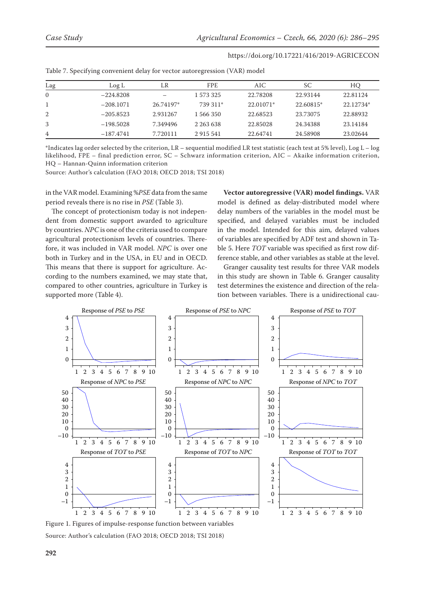| Lag            | Log L       | LR        | <b>FPE</b> | AIC       | SС        | HQ        |
|----------------|-------------|-----------|------------|-----------|-----------|-----------|
| $\overline{0}$ | $-224.8208$ |           | 1 573 325  | 22.78208  | 22.93144  | 22.81124  |
|                | $-208.1071$ | 26.74197* | 739 311*   | 22.01071* | 22.60815* | 22.12734* |
| 2              | $-205.8523$ | 2.931267  | 1 566 350  | 22.68523  | 23.73075  | 22.88932  |
| 3              | $-198.5028$ | 7.349496  | 2 263 638  | 22.85028  | 24.34388  | 23.14184  |
| 4              | $-187.4741$ | 7.720111  | 2915541    | 22.64741  | 24.58908  | 23.02644  |

https://doi.org/10.17221/416/2019-AGRICECON

| Table 7. Specifying convenient delay for vector autoregression (VAR) model |  |  |  |
|----------------------------------------------------------------------------|--|--|--|
|----------------------------------------------------------------------------|--|--|--|

\*Indicates lag order selected by the criterion, LR – sequential modified LR test statistic (each test at 5% level), Log L – log likelihood, FPE – final prediction error, SC – Schwarz information criterion, AIC – Akaike information criterion, HQ – Hannan-Quinn information criterion

Source: Author's calculation (FAO 2018; OECD 2018; TSI 2018)

in the VAR model. Examining %*PSE* data from the same period reveals there is no rise in *PSE* (Table 3).

The concept of protectionism today is not independent from domestic support awarded to agriculture by countries. *NPC* is one of the criteria used to compare agricultural protectionism levels of countries. Therefore, it was included in VAR model. *NPC* is over one both in Turkey and in the USA, in EU and in OECD. This means that there is support for agriculture. According to the numbers examined, we may state that, compared to other countries, agriculture in Turkey is supported more (Table 4).

**Vector autoregressive (VAR) model findings.** VAR model is defined as delay-distributed model where delay numbers of the variables in the model must be specified, and delayed variables must be included in the model. Intended for this aim, delayed values of variables are specified by ADF test and shown in Table 5. Here *TOT* variable was specified as first row difference stable, and other variables as stable at the level.

Granger causality test results for three VAR models in this study are shown in Table 6. Granger causality test determines the existence and direction of the relation between variables. There is a unidirectional cau-



Source: Author's calculation (FAO 2018; OECD 2018; TSI 2018)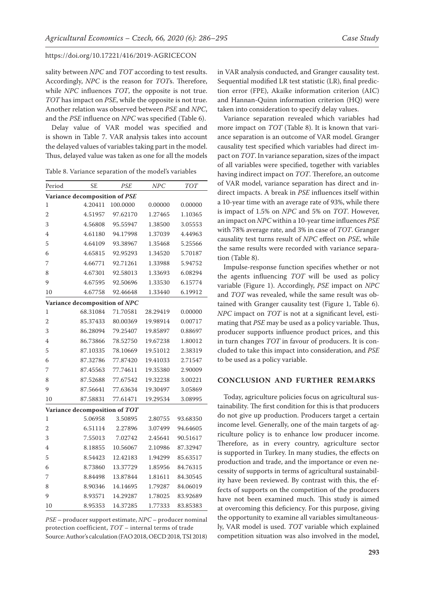sality between *NPC* and *TOT* according to test results. Accordingly, *NPC* is the reason for *TOT*s. Therefore, while *NPC* influences *TOT*, the opposite is not true. *TOT* has impact on *PSE*, while the opposite is not true. Another relation was observed between *PSE* and *NPC*, and the *PSE* influence on *NPC* was specified (Table 6).

Delay value of VAR model was specified and is shown in Table 7. VAR analysis takes into account the delayed values of variables taking part in the model. Thus, delayed value was taken as one for all the models

| Table 8. Variance separation of the model's variables |  |
|-------------------------------------------------------|--|
|-------------------------------------------------------|--|

| Period                        | SE                            | <b>PSE</b> | NPC      | <b>TOT</b> |  |  |  |
|-------------------------------|-------------------------------|------------|----------|------------|--|--|--|
| Variance decomposition of PSE |                               |            |          |            |  |  |  |
| 1                             | 4.20411                       | 100.0000   | 0.00000  | 0.00000    |  |  |  |
| $\overline{2}$                | 4.51957                       | 97.62170   | 1.27465  | 1.10365    |  |  |  |
| 3                             | 4.56808                       | 95.55947   | 1.38500  | 3.05553    |  |  |  |
| 4                             | 4.61180                       | 94.17998   | 1.37039  | 4.44963    |  |  |  |
| 5                             | 4.64109                       | 93.38967   | 1.35468  | 5.25566    |  |  |  |
| 6                             | 4.65815                       | 92.95293   | 1.34520  | 5.70187    |  |  |  |
| 7                             | 4.66771                       | 92.71261   | 1.33988  | 5.94752    |  |  |  |
| 8                             | 4.67301                       | 92.58013   | 1.33693  | 6.08294    |  |  |  |
| 9                             | 4.67595                       | 92.50696   | 1.33530  | 6.15774    |  |  |  |
| 10                            | 4.67758                       | 92.46648   | 1.33440  | 6.19912    |  |  |  |
|                               | Variance decomposition of NPC |            |          |            |  |  |  |
| 1                             | 68.31084                      | 71.70581   | 28.29419 | 0.00000    |  |  |  |
| $\overline{2}$                | 85.37433                      | 80.00369   | 19.98914 | 0.00717    |  |  |  |
| 3                             | 86.28094                      | 79.25407   | 19.85897 | 0.88697    |  |  |  |
| 4                             | 86.73866                      | 78.52750   | 19.67238 | 1.80012    |  |  |  |
| 5                             | 87.10335                      | 78.10669   | 19.51012 | 2.38319    |  |  |  |
| 6                             | 87.32786                      | 77.87420   | 19.41033 | 2.71547    |  |  |  |
| 7                             | 87.45563                      | 77.74611   | 19.35380 | 2.90009    |  |  |  |
| 8                             | 87.52688                      | 77.67542   | 19.32238 | 3.00221    |  |  |  |
| 9                             | 87.56641                      | 77.63634   | 19.30497 | 3.05869    |  |  |  |
| 10                            | 87.58831                      | 77.61471   | 19.29534 | 3.08995    |  |  |  |
|                               | Variance decomposition of TOT |            |          |            |  |  |  |
| 1                             | 5.06958                       | 3.50895    | 2.80755  | 93.68350   |  |  |  |
| $\overline{2}$                | 6.51114                       | 2.27896    | 3.07499  | 94.64605   |  |  |  |
| 3                             | 7.55013                       | 7.02742    | 2.45641  | 90.51617   |  |  |  |
| 4                             | 8.18855                       | 10.56067   | 2.10986  | 87.32947   |  |  |  |
| 5                             | 8.54423                       | 12.42183   | 1.94299  | 85.63517   |  |  |  |
| 6                             | 8.73860                       | 13.37729   | 1.85956  | 84.76315   |  |  |  |
| 7                             | 8.84498                       | 13.87844   | 1.81611  | 84.30545   |  |  |  |
| 8                             | 8.90346                       | 14.14695   | 1.79287  | 84.06019   |  |  |  |
| 9                             | 8.93571                       | 14.29287   | 1.78025  | 83.92689   |  |  |  |
| 10                            | 8.95353                       | 14.37285   | 1.77333  | 83.85383   |  |  |  |

*PSE* – producer support estimate, *NPC* – producer nominal protection coefficient, *TOT* – internal terms of trade Source: Author's calculation (FAO 2018, OECD 2018, TSI 2018)

in VAR analysis conducted, and Granger causality test. Sequential modified LR test statistic (LR), final prediction error (FPE), Akaike information criterion (AIC) and Hannan-Quinn information criterion (HQ) were taken into consideration to specify delay values.

Variance separation revealed which variables had more impact on *TOT* (Table 8). It is known that variance separation is an outcome of VAR model. Granger causality test specified which variables had direct impact on *TOT*. In variance separation, sizes of the impact of all variables were specified, together with variables having indirect impact on *TOT*. Therefore, an outcome of VAR model, variance separation has direct and indirect impacts. A break in *PSE* influences itself within a 10-year time with an average rate of 93%, while there is impact of 1.5% on *NPC* and 5% on *TOT*. However, an impact on *NPC* within a 10-year time influences *PSE* with 78% average rate, and 3% in case of *TOT*. Granger causality test turns result of *NPC* effect on *PSE*, while the same results were recorded with variance separation (Table 8).

Impulse-response function specifies whether or not the agents influencing *TOT* will be used as policy variable (Figure 1). Accordingly, *PSE* impact on *NPC* and *TOT* was revealed, while the same result was obtained with Granger causality test (Figure 1, Table 6). *NPC* impact on *TOT* is not at a significant level, estimating that *PSE* may be used as a policy variable. Thus, producer supports influence product prices, and this in turn changes *TOT* in favour of producers. It is concluded to take this impact into consideration, and *PSE* to be used as a policy variable.

## **CONCLUSION AND FURTHER REMARKS**

Today, agriculture policies focus on agricultural sustainability. The first condition for this is that producers do not give up production. Producers target a certain income level. Generally, one of the main targets of agriculture policy is to enhance low producer income. Therefore, as in every country, agriculture sector is supported in Turkey. In many studies, the effects on production and trade, and the importance or even necessity of supports in terms of agricultural sustainability have been reviewed. By contrast with this, the effects of supports on the competition of the producers have not been examined much. This study is aimed at overcoming this deficiency. For this purpose, giving the opportunity to examine all variables simultaneously, VAR model is used. *TOT* variable which explained competition situation was also involved in the model,

**293**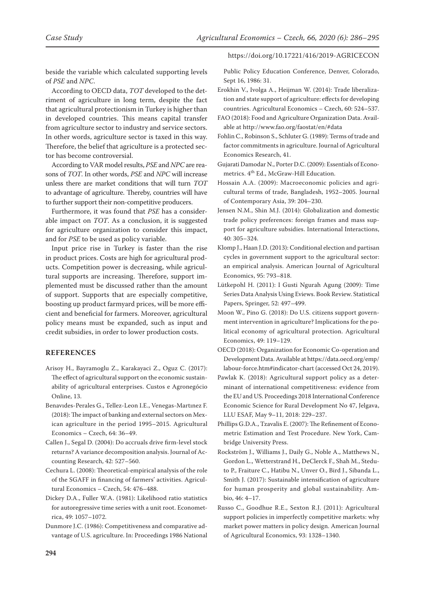beside the variable which calculated supporting levels of *PSE* and *NPC*.

According to OECD data, *TOT* developed to the detriment of agriculture in long term, despite the fact that agricultural protectionism in Turkey is higher than in developed countries. This means capital transfer from agriculture sector to industry and service sectors. In other words, agriculture sector is taxed in this way. Therefore, the belief that agriculture is a protected sector has become controversial.

According to VAR model results, *PSE* and *NPC* are reasons of *TOT*. In other words, *PSE* and *NPC* will increase unless there are market conditions that will turn *TOT* to advantage of agriculture. Thereby, countries will have to further support their non-competitive producers.

Furthermore, it was found that *PSE* has a considerable impact on *TOT*. As a conclusion, it is suggested for agriculture organization to consider this impact, and for *PSE* to be used as policy variable.

Input price rise in Turkey is faster than the rise in product prices. Costs are high for agricultural products. Competition power is decreasing, while agricultural supports are increasing. Therefore, support implemented must be discussed rather than the amount of support. Supports that are especially competitive, boosting up product farmyard prices, will be more efficient and beneficial for farmers. Moreover, agricultural policy means must be expanded, such as input and credit subsidies, in order to lower production costs.

## **REFERENCES**

- Arisoy H., Bayramoglu Z., Karakayaci Z., Oguz C. (2017): The effect of agricultural support on the economic sustainability of agricultural enterprises. Custos e Agronegócio Online, 13.
- Benavıdes-Perales G., Tellez-Leon I.E., Venegas-Martınez F. (2018): The impact of banking and external sectors on Mexican agriculture in the period 1995–2015. Agricultural Economics – Czech, 64: 36–49.
- Callen J., Segal D. (2004): Do accruals drive firm-level stock returns? A variance decomposition analysis. Journal of Accounting Research, 42: 527–560.
- Cechura L. (2008): Theoretical-empirical analysis of the role of the SGAFF in financing of farmers' activities. Agricultural Economics – Czech, 54: 476–488.
- Dickey D.A., Fuller W.A. (1981): Likelihood ratio statistics for autoregressive time series with a unit root. Econometrica, 49: 1057–1072.
- Dunmore J.C. (1986): Competitiveness and comparative advantage of U.S. agriculture. In: Proceedings 1986 National

## https://doi.org/10.17221/416/2019-AGRICECON

Public Policy Education Conference, Denver, Colorado, Sept 16, 1986: 31.

- Erokhin V., Ivolga A., Heijman W. (2014): Trade liberalization and state support of agriculture: effects for developing countries. Agricultural Economics – Czech, 60: 524–537.
- FAO (2018): Food and Agriculture Organization Data. Available at http://www.fao.org/faostat/en/#data
- Fohlin C., Robinson S., Schluter G. (1989): Terms of trade and factor commitments in agriculture. Journal of Agricultural Economics Research, 41.
- Gujarati Damodar N., Porter D.C. (2009): Essentials of Econometrics. 4<sup>th</sup> Ed., McGraw-Hill Education.
- Hossain A.A. (2009): Macroeconomic policies and agricultural terms of trade, Bangladesh, 1952–2005. Journal of Contemporary Asia, 39: 204–230.
- Jensen N.M., Shin M.J. (2014): Globalization and domestic trade policy preferences: foreign frames and mass support for agriculture subsidies. International Interactions, 40: 305–324.
- Klomp J., Haan J.D. (2013): Conditional election and partisan cycles in government support to the agricultural sector: an empirical analysis. American Journal of Agricultural Economics, 95: 793–818.
- Lütkepohl H. (2011): I Gusti Ngurah Agung (2009): Time Series Data Analysis Using Eviews. Book Review. Statistical Papers, Springer, 52: 497–499.
- Moon W., Pino G. (2018): Do U.S. citizens support government intervention in agriculture? Implications for the political economy of agricultural protection. Agricultural Economics, 49: 119–129.
- OECD (2018): Organization for Economic Co-operation and Development Data. Available at https://data.oecd.org/emp/ labour-force.htm#indicator-chart (accessed Oct 24, 2019).
- Pawlak K. (2018): Agricultural support policy as a determinant of international competitiveness: evidence from the EU and US. Proceedings 2018 International Conference Economic Science for Rural Development No 47, Jelgava, LLU ESAF, May 9–11, 2018: 229–237.
- Phillips G.D.A., Tzavalis E. (2007): The Refinement of Econometric Estimation and Test Procedure. New York, Cambridge University Press.
- Rockström J., Williams J., Daily G., Noble A., Matthews N., Gordon L., Wetterstrand H., DeClerck F., Shah M., Steduto P., Fraiture C., Hatibu N., Unver O., Bird J., Sibanda L., Smith J. (2017): Sustainable intensification of agriculture for human prosperity and global sustainability. Ambio, 46: 4–17.
- Russo C., Goodhue R.E., Sexton R.J. (2011): Agricultural support policies in imperfectly competitive markets: why market power matters in policy design. American Journal of Agricultural Economics, 93: 1328–1340.